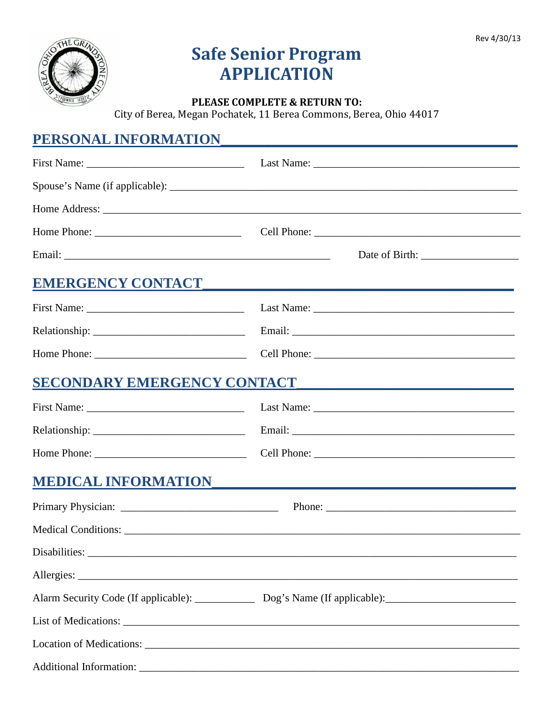

# **Safe Senior Program APPLICATION**

#### PLEASE COMPLETE & RETURN TO:

City of Berea, Megan Pochatek, 11 Berea Commons, Berea, Ohio 44017

### PERSONAL INFORMATION

|                             | EMERGENCY CONTACT EXPERIENCE AND THE EXPERIENCE ON THE EXPERIENCE ON THE EXPERIENCE OF THE EXPERIENCE OF THE EXPERIENCE OF THE EXPERIENCE OF THE EXPERIENCE OF THE EXPERIENCE OF THE EXPERIENCE OF THE EXPERIENCE OF THE EXPER |
|-----------------------------|--------------------------------------------------------------------------------------------------------------------------------------------------------------------------------------------------------------------------------|
|                             |                                                                                                                                                                                                                                |
|                             |                                                                                                                                                                                                                                |
|                             |                                                                                                                                                                                                                                |
| SECONDARY EMERGENCY CONTACT |                                                                                                                                                                                                                                |
|                             |                                                                                                                                                                                                                                |
|                             |                                                                                                                                                                                                                                |
|                             |                                                                                                                                                                                                                                |
| <b>MEDICAL INFORMATION</b>  |                                                                                                                                                                                                                                |
|                             |                                                                                                                                                                                                                                |
|                             |                                                                                                                                                                                                                                |
|                             |                                                                                                                                                                                                                                |
|                             |                                                                                                                                                                                                                                |
|                             | Alarm Security Code (If applicable): ______________ Dog's Name (If applicable): ______________________________                                                                                                                 |
|                             |                                                                                                                                                                                                                                |
|                             |                                                                                                                                                                                                                                |
|                             |                                                                                                                                                                                                                                |